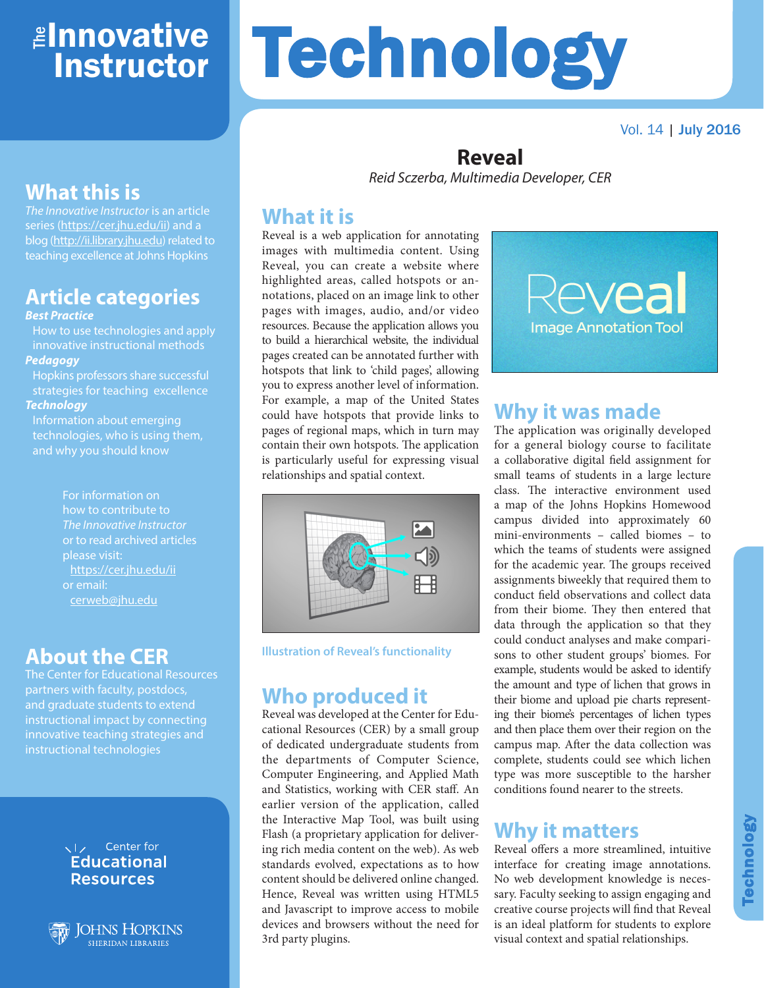## ≇l<mark>nnovative</mark> Instructor

Vol. 14 | July 2016

## **What this is**

*The Innovative Instructor* is an article series (https://cer.jhu.edu/ii) and a blog (http://ii.library.jhu.edu) related to teaching excellence at Johns Hopkins

## **Article categories**

#### *Best Practice*

How to use technologies and apply innovative instructional methods *Pedagogy*

Hopkins professors share successful strategies for teaching excellence *Technology*

Information about emerging technologies, who is using them, and why you should know

> For information on how to contribute to *The Innovative Instructor* or to read archived articles please visit: https://cer.jhu.edu/ii or email: cerweb@jhu.edu

#### **About the CER**

The Center for Educational Resources partners with faculty, postdocs, and graduate students to extend instructional impact by connecting innovative teaching strategies and instructional technologies

#### VI<sub>z</sub> Center for **Educational Resources**

**JOHNS HOPKINS SHERIDAN LIBRARIES** 

# **Technology**

#### **Reveal** *Reid Sczerba, Multimedia Developer, CER*

#### **What it is**

Reveal is a web application for annotating images with multimedia content. Using Reveal, you can create a website where highlighted areas, called hotspots or annotations, placed on an image link to other pages with images, audio, and/or video resources. Because the application allows you to build a hierarchical website, the individual pages created can be annotated further with hotspots that link to 'child pages', allowing you to express another level of information. For example, a map of the United States could have hotspots that provide links to pages of regional maps, which in turn may contain their own hotspots. The application is particularly useful for expressing visual relationships and spatial context.



**Illustration of Reveal's functionality**

#### **Who produced it**

Reveal was developed at the Center for Educational Resources (CER) by a small group of dedicated undergraduate students from the departments of Computer Science, Computer Engineering, and Applied Math and Statistics, working with CER staff. An earlier version of the application, called the Interactive Map Tool, was built using Flash (a proprietary application for delivering rich media content on the web). As web standards evolved, expectations as to how content should be delivered online changed. Hence, Reveal was written using HTML5 and Javascript to improve access to mobile devices and browsers without the need for 3rd party plugins.



## **Why it was made**

The application was originally developed for a general biology course to facilitate a collaborative digital field assignment for small teams of students in a large lecture class. The interactive environment used a map of the Johns Hopkins Homewood campus divided into approximately 60 mini-environments – called biomes – to which the teams of students were assigned for the academic year. The groups received assignments biweekly that required them to conduct field observations and collect data from their biome. They then entered that data through the application so that they could conduct analyses and make comparisons to other student groups' biomes. For example, students would be asked to identify the amount and type of lichen that grows in their biome and upload pie charts representing their biome's percentages of lichen types and then place them over their region on the campus map. After the data collection was complete, students could see which lichen type was more susceptible to the harsher conditions found nearer to the streets.

#### **Why it matters**

Reveal offers a more streamlined, intuitive interface for creating image annotations. No web development knowledge is necessary. Faculty seeking to assign engaging and creative course projects will find that Reveal is an ideal platform for students to explore visual context and spatial relationships.